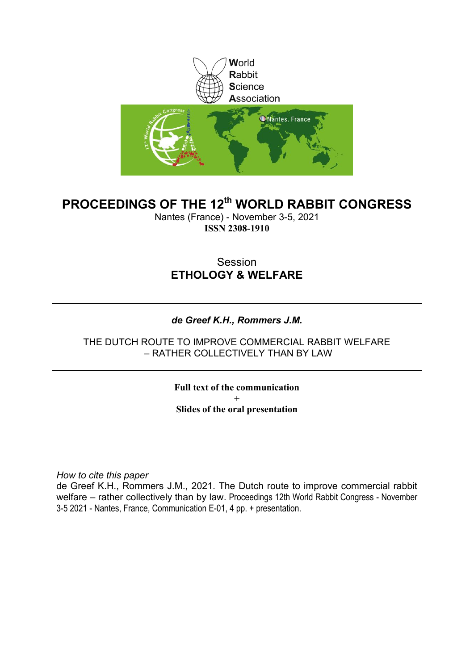

### **PROCEEDINGS OF THE 12th WORLD RABBIT CONGRESS**

Nantes (France) - November 3-5, 2021 **ISSN 2308-1910**

### Session **ETHOLOGY & WELFARE**

### *de Greef K.H., Rommers J.M.*

#### THE DUTCH ROUTE TO IMPROVE COMMERCIAL RABBIT WELFARE – RATHER COLLECTIVELY THAN BY LAW

**Full text of the communication + Slides of the oral presentation**

*How to cite this paper*

de Greef K.H., Rommers J.M., 2021. The Dutch route to improve commercial rabbit welfare – rather collectively than by law. Proceedings 12th World Rabbit Congress - November 3-5 2021 - Nantes, France, Communication E-01, 4 pp. + presentation.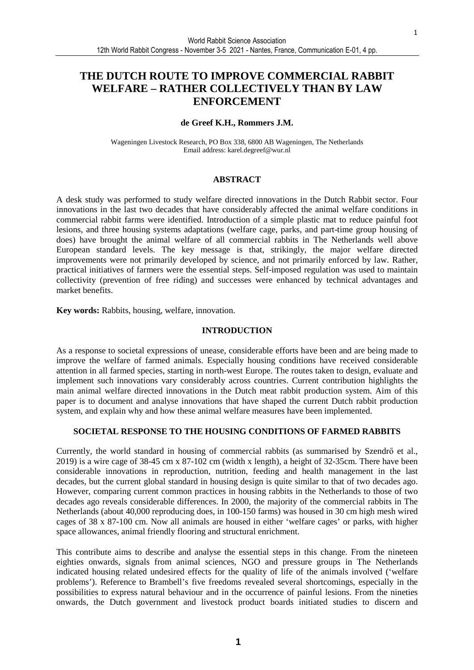### **THE DUTCH ROUTE TO IMPROVE COMMERCIAL RABBIT WELFARE – RATHER COLLECTIVELY THAN BY LAW ENFORCEMENT**

#### **de Greef K.H., Rommers J.M.**

Wageningen Livestock Research, PO Box 338, 6800 AB Wageningen, The Netherlands Email address: karel.degreef@wur.nl

#### **ABSTRACT**

A desk study was performed to study welfare directed innovations in the Dutch Rabbit sector. Four innovations in the last two decades that have considerably affected the animal welfare conditions in commercial rabbit farms were identified. Introduction of a simple plastic mat to reduce painful foot lesions, and three housing systems adaptations (welfare cage, parks, and part-time group housing of does) have brought the animal welfare of all commercial rabbits in The Netherlands well above European standard levels. The key message is that, strikingly, the major welfare directed improvements were not primarily developed by science, and not primarily enforced by law. Rather, practical initiatives of farmers were the essential steps. Self-imposed regulation was used to maintain collectivity (prevention of free riding) and successes were enhanced by technical advantages and market benefits.

**Key words:** Rabbits, housing, welfare, innovation.

#### **INTRODUCTION**

As a response to societal expressions of unease, considerable efforts have been and are being made to improve the welfare of farmed animals. Especially housing conditions have received considerable attention in all farmed species, starting in north-west Europe. The routes taken to design, evaluate and implement such innovations vary considerably across countries. Current contribution highlights the main animal welfare directed innovations in the Dutch meat rabbit production system. Aim of this paper is to document and analyse innovations that have shaped the current Dutch rabbit production system, and explain why and how these animal welfare measures have been implemented.

#### **SOCIETAL RESPONSE TO THE HOUSING CONDITIONS OF FARMED RABBITS**

Currently, the world standard in housing of commercial rabbits (as summarised by Szendrő et al., 2019) is a wire cage of 38-45 cm x 87-102 cm (width x length), a height of 32-35cm. There have been considerable innovations in reproduction, nutrition, feeding and health management in the last decades, but the current global standard in housing design is quite similar to that of two decades ago. However, comparing current common practices in housing rabbits in the Netherlands to those of two decades ago reveals considerable differences. In 2000, the majority of the commercial rabbits in The Netherlands (about 40,000 reproducing does, in 100-150 farms) was housed in 30 cm high mesh wired cages of 38 x 87-100 cm. Now all animals are housed in either 'welfare cages' or parks, with higher space allowances, animal friendly flooring and structural enrichment.

This contribute aims to describe and analyse the essential steps in this change. From the nineteen eighties onwards, signals from animal sciences, NGO and pressure groups in The Netherlands indicated housing related undesired effects for the quality of life of the animals involved ('welfare problems'). Reference to Brambell's five freedoms revealed several shortcomings, especially in the possibilities to express natural behaviour and in the occurrence of painful lesions. From the nineties onwards, the Dutch government and livestock product boards initiated studies to discern and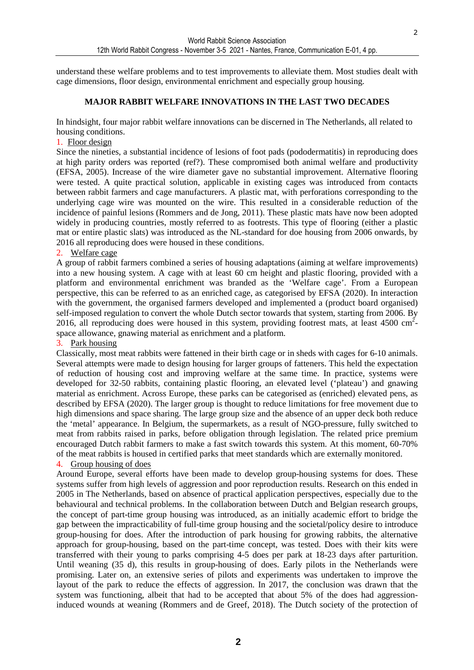$\overline{2}$ 

understand these welfare problems and to test improvements to alleviate them. Most studies dealt with cage dimensions, floor design, environmental enrichment and especially group housing.

#### **MAJOR RABBIT WELFARE INNOVATIONS IN THE LAST TWO DECADES**

In hindsight, four major rabbit welfare innovations can be discerned in The Netherlands, all related to housing conditions.

#### 1. Floor design

Since the nineties, a substantial incidence of lesions of foot pads (pododermatitis) in reproducing does at high parity orders was reported (ref?). These compromised both animal welfare and productivity (EFSA, 2005). Increase of the wire diameter gave no substantial improvement. Alternative flooring were tested. A quite practical solution, applicable in existing cages was introduced from contacts between rabbit farmers and cage manufacturers. A plastic mat, with perforations corresponding to the underlying cage wire was mounted on the wire. This resulted in a considerable reduction of the incidence of painful lesions (Rommers and de Jong, 2011). These plastic mats have now been adopted widely in producing countries, mostly referred to as footrests. This type of flooring (either a plastic mat or entire plastic slats) was introduced as the NL-standard for doe housing from 2006 onwards, by 2016 all reproducing does were housed in these conditions.

#### 2. Welfare cage

A group of rabbit farmers combined a series of housing adaptations (aiming at welfare improvements) into a new housing system. A cage with at least 60 cm height and plastic flooring, provided with a platform and environmental enrichment was branded as the 'Welfare cage'. From a European perspective, this can be referred to as an enriched cage, as categorised by EFSA (2020). In interaction with the government, the organised farmers developed and implemented a (product board organised) self-imposed regulation to convert the whole Dutch sector towards that system, starting from 2006. By 2016, all reproducing does were housed in this system, providing footrest mats, at least 4500  $\text{cm}^2$ space allowance, gnawing material as enrichment and a platform.

#### 3. Park housing

Classically, most meat rabbits were fattened in their birth cage or in sheds with cages for 6-10 animals. Several attempts were made to design housing for larger groups of fatteners. This held the expectation of reduction of housing cost and improving welfare at the same time. In practice, systems were developed for 32-50 rabbits, containing plastic flooring, an elevated level ('plateau') and gnawing material as enrichment. Across Europe, these parks can be categorised as (enriched) elevated pens, as described by EFSA (2020). The larger group is thought to reduce limitations for free movement due to high dimensions and space sharing. The large group size and the absence of an upper deck both reduce the 'metal' appearance. In Belgium, the supermarkets, as a result of NGO-pressure, fully switched to meat from rabbits raised in parks, before obligation through legislation. The related price premium encouraged Dutch rabbit farmers to make a fast switch towards this system. At this moment, 60-70% of the meat rabbits is housed in certified parks that meet standards which are externally monitored.

#### 4. Group housing of does

Around Europe, several efforts have been made to develop group-housing systems for does. These systems suffer from high levels of aggression and poor reproduction results. Research on this ended in 2005 in The Netherlands, based on absence of practical application perspectives, especially due to the behavioural and technical problems. In the collaboration between Dutch and Belgian research groups, the concept of part-time group housing was introduced, as an initially academic effort to bridge the gap between the impracticability of full-time group housing and the societal/policy desire to introduce group-housing for does. After the introduction of park housing for growing rabbits, the alternative approach for group-housing, based on the part-time concept, was tested. Does with their kits were transferred with their young to parks comprising 4-5 does per park at 18-23 days after parturition. Until weaning (35 d), this results in group-housing of does. Early pilots in the Netherlands were promising. Later on, an extensive series of pilots and experiments was undertaken to improve the layout of the park to reduce the effects of aggression. In 2017, the conclusion was drawn that the system was functioning, albeit that had to be accepted that about 5% of the does had aggressioninduced wounds at weaning (Rommers and de Greef, 2018). The Dutch society of the protection of

**2**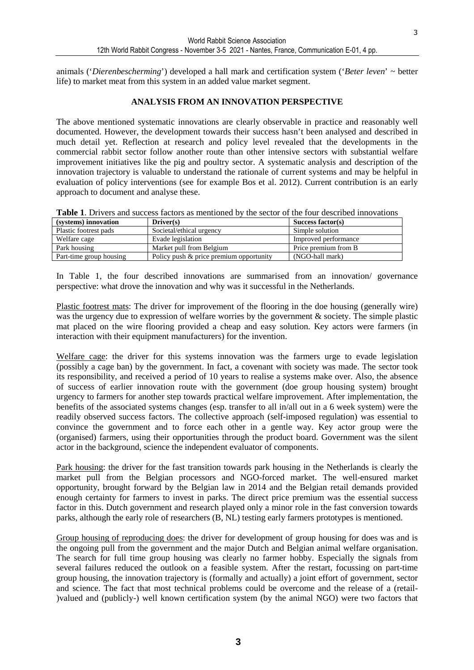3

animals ('*Dierenbescherming*') developed a hall mark and certification system ('*Beter leven*' ~ better life) to market meat from this system in an added value market segment.

#### **ANALYSIS FROM AN INNOVATION PERSPECTIVE**

The above mentioned systematic innovations are clearly observable in practice and reasonably well documented. However, the development towards their success hasn't been analysed and described in much detail yet. Reflection at research and policy level revealed that the developments in the commercial rabbit sector follow another route than other intensive sectors with substantial welfare improvement initiatives like the pig and poultry sector. A systematic analysis and description of the innovation trajectory is valuable to understand the rationale of current systems and may be helpful in evaluation of policy interventions (see for example Bos et al. 2012). Current contribution is an early approach to document and analyse these.

| <b>Table 1.</b> Drivers and success factors as mentioned by the sector of the four described innovations |  |
|----------------------------------------------------------------------------------------------------------|--|
|----------------------------------------------------------------------------------------------------------|--|

| (systems) innovation    | $Direct(s)$                             | Success factor(s)    |
|-------------------------|-----------------------------------------|----------------------|
| Plastic footrest pads   | Societal/ethical urgency                | Simple solution      |
| Welfare cage            | Evade legislation                       | Improved performance |
| Park housing            | Market pull from Belgium                | Price premium from B |
| Part-time group housing | Policy push & price premium opportunity | (NGO-hall mark)      |

In Table 1, the four described innovations are summarised from an innovation/ governance perspective: what drove the innovation and why was it successful in the Netherlands.

Plastic footrest mats: The driver for improvement of the flooring in the doe housing (generally wire) was the urgency due to expression of welfare worries by the government  $\&$  society. The simple plastic mat placed on the wire flooring provided a cheap and easy solution. Key actors were farmers (in interaction with their equipment manufacturers) for the invention.

Welfare cage: the driver for this systems innovation was the farmers urge to evade legislation (possibly a cage ban) by the government. In fact, a covenant with society was made. The sector took its responsibility, and received a period of 10 years to realise a systems make over. Also, the absence of success of earlier innovation route with the government (doe group housing system) brought urgency to farmers for another step towards practical welfare improvement. After implementation, the benefits of the associated systems changes (esp. transfer to all in/all out in a 6 week system) were the readily observed success factors. The collective approach (self-imposed regulation) was essential to convince the government and to force each other in a gentle way. Key actor group were the (organised) farmers, using their opportunities through the product board. Government was the silent actor in the background, science the independent evaluator of components.

Park housing: the driver for the fast transition towards park housing in the Netherlands is clearly the market pull from the Belgian processors and NGO-forced market. The well-ensured market opportunity, brought forward by the Belgian law in 2014 and the Belgian retail demands provided enough certainty for farmers to invest in parks. The direct price premium was the essential success factor in this. Dutch government and research played only a minor role in the fast conversion towards parks, although the early role of researchers (B, NL) testing early farmers prototypes is mentioned.

Group housing of reproducing does: the driver for development of group housing for does was and is the ongoing pull from the government and the major Dutch and Belgian animal welfare organisation. The search for full time group housing was clearly no farmer hobby. Especially the signals from several failures reduced the outlook on a feasible system. After the restart, focussing on part-time group housing, the innovation trajectory is (formally and actually) a joint effort of government, sector and science. The fact that most technical problems could be overcome and the release of a (retail- )valued and (publicly-) well known certification system (by the animal NGO) were two factors that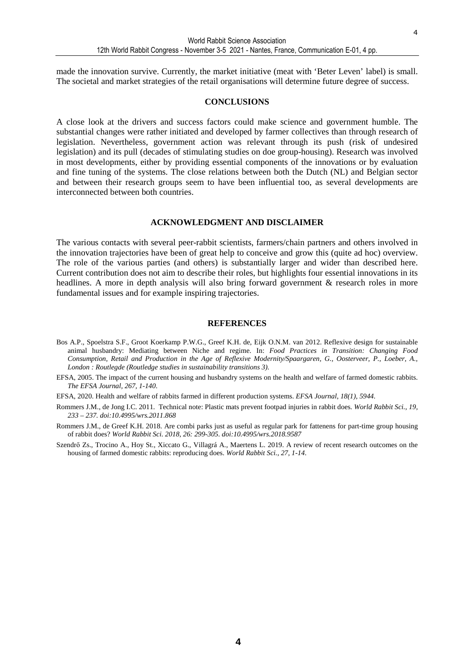made the innovation survive. Currently, the market initiative (meat with 'Beter Leven' label) is small. The societal and market strategies of the retail organisations will determine future degree of success.

#### **CONCLUSIONS**

A close look at the drivers and success factors could make science and government humble. The substantial changes were rather initiated and developed by farmer collectives than through research of legislation. Nevertheless, government action was relevant through its push (risk of undesired legislation) and its pull (decades of stimulating studies on doe group-housing). Research was involved in most developments, either by providing essential components of the innovations or by evaluation and fine tuning of the systems. The close relations between both the Dutch (NL) and Belgian sector and between their research groups seem to have been influential too, as several developments are interconnected between both countries.

#### **ACKNOWLEDGMENT AND DISCLAIMER**

The various contacts with several peer-rabbit scientists, farmers/chain partners and others involved in the innovation trajectories have been of great help to conceive and grow this (quite ad hoc) overview. The role of the various parties (and others) is substantially larger and wider than described here. Current contribution does not aim to describe their roles, but highlights four essential innovations in its headlines. A more in depth analysis will also bring forward government & research roles in more fundamental issues and for example inspiring trajectories.

#### **REFERENCES**

- Bos A.P., Spoelstra S.F., Groot Koerkamp P.W.G., Greef K.H. de, Eijk O.N.M. van 2012. Reflexive design for sustainable animal husbandry: Mediating between Niche and regime. In: *Food Practices in Transition: Changing Food Consumption, Retail and Production in the Age of Reflexive Modernity/Spaargaren, G., Oosterveer, P., Loeber, A., London : Routlegde (Routledge studies in sustainability transitions 3).*
- EFSA, 2005. The impact of the current housing and husbandry systems on the health and welfare of farmed domestic rabbits. *The EFSA Journal, 267, 1-140*.
- EFSA, 2020. Health and welfare of rabbits farmed in different production systems. *EFSA Journal, 18(1), 5944.*
- Rommers J.M., de Jong I.C. 2011. Technical note: Plastic mats prevent footpad injuries in rabbit does. *World Rabbit Sci., 19, 233 – 237. doi:10.4995/wrs.2011.868*
- Rommers J.M., de Greef K.H. 2018. Are combi parks just as useful as regular park for fattenens for part-time group housing of rabbit does? *World Rabbit Sci. 2018, 26: 299-305. doi:10.4995/wrs.2018.9587*
- Szendrő Zs., Trocino A., Hoy St., Xiccato G., Villagrá A., Maertens L. 2019. A review of recent research outcomes on the housing of farmed domestic rabbits: reproducing does. *World Rabbit Sci., 27, 1-14*.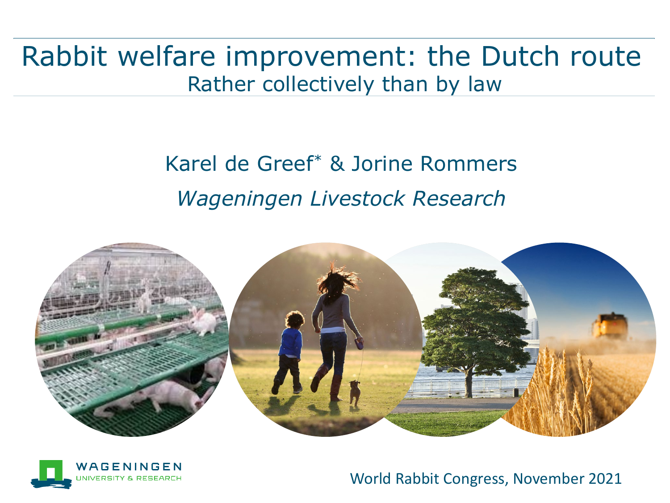Rabbit welfare improvement: the Dutch route Rather collectively than by law

## Karel de Greef\* & Jorine Rommers *Wageningen Livestock Research*





World Rabbit Congress, November 2021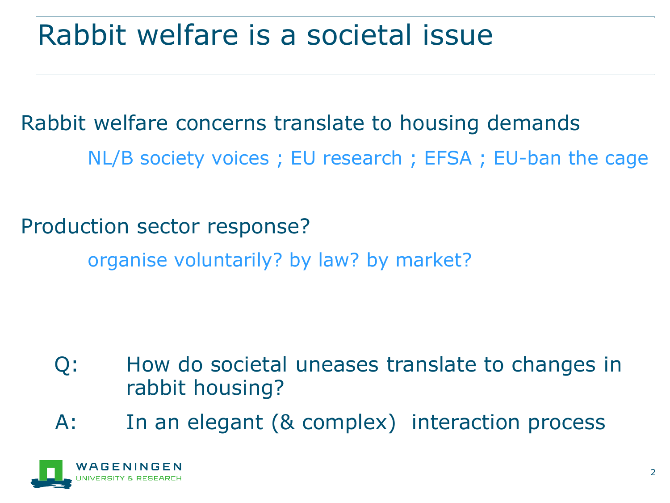## Rabbit welfare is a societal issue

Rabbit welfare concerns translate to housing demands NL/B society voices ; EU research ; EFSA ; EU-ban the cage

Production sector response? organise voluntarily? by law? by market?

- Q: How do societal uneases translate to changes in rabbit housing?
- A: In an elegant (& complex) interaction process

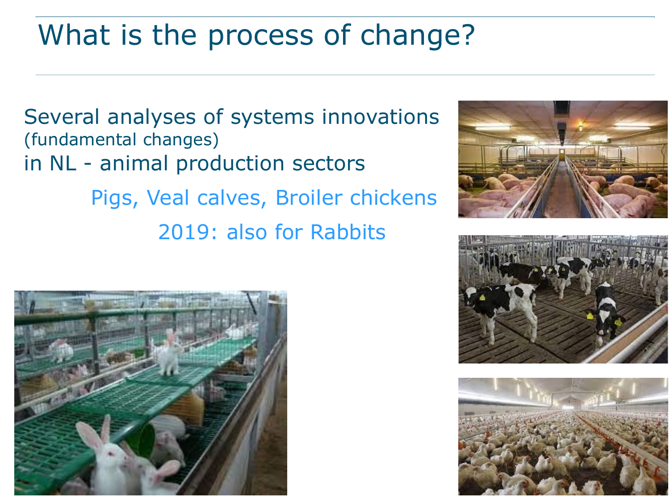# What is the process of change?

Several analyses of systems innovations (fundamental changes) in NL - animal production sectors Pigs, Veal calves, Broiler chickens

2019: also for Rabbits







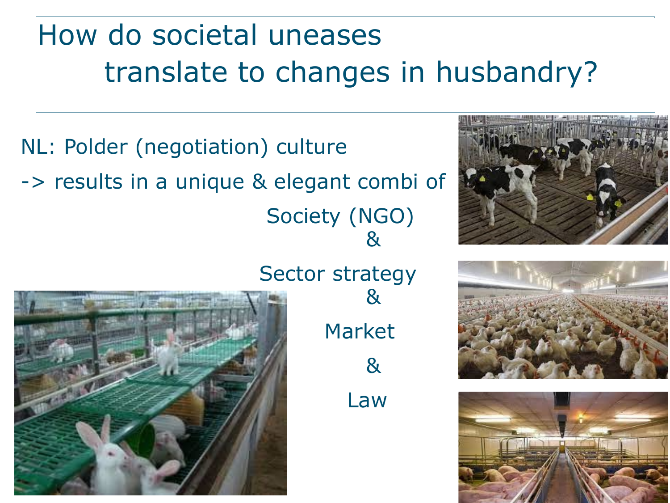# How do societal uneases translate to changes in husbandry?

NL: Polder (negotiation) culture -> results in a unique & elegant combi of Society (NGO) &



Sector strategy

Market & Law

&





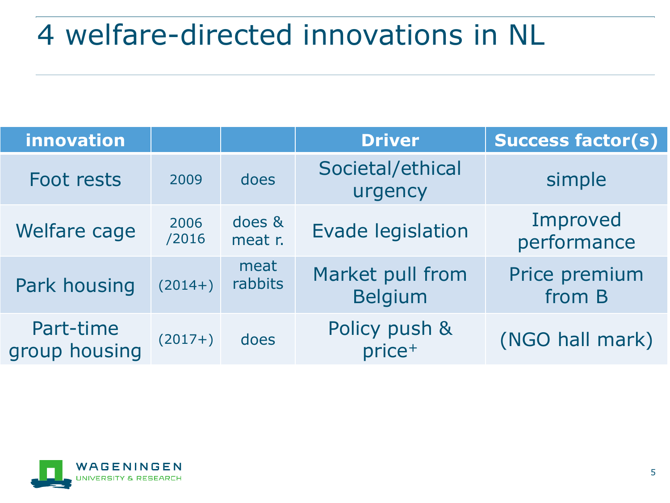# 4 welfare-directed innovations in NL

| innovation                 |               |                   | <b>Driver</b>                       | <b>Success factor(s)</b> |
|----------------------------|---------------|-------------------|-------------------------------------|--------------------------|
| Foot rests                 | 2009          | does              | Societal/ethical<br>urgency         | simple                   |
| Welfare cage               | 2006<br>/2016 | does &<br>meat r. | <b>Evade legislation</b>            | Improved<br>performance  |
| Park housing               | $(2014+)$     | meat<br>rabbits   | Market pull from<br><b>Belgium</b>  | Price premium<br>from B  |
| Part-time<br>group housing | $(2017+)$     | does              | Policy push &<br>price <sup>+</sup> | (NGO hall mark)          |